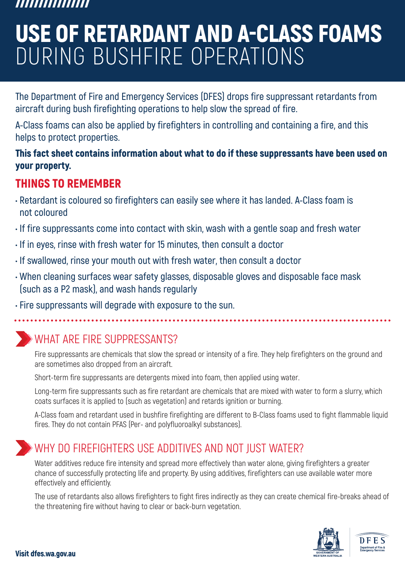#### ,,,,,,,,,,,,,,,

# USE OF RETARDANT AND A-CLASS FOAMS DURING BUSHFIRE OPERATIONS

**The Department of Fire and Emergency Services (DFES) drops fire suppressant retardants from aircraft during bush firefighting operations to help slow the spread of fire.**

**A-Class foams can also be applied by firefighters in controlling and containing a fire, and this helps to protect properties.**

#### This fact sheet contains information about what to do if these suppressants have been used on your property.

#### THINGS TO REMEMBER

- **Retardant is coloured so firefighters can easily see where it has landed. A-Class foam is not coloured**
- **If fire suppressants come into contact with skin, wash with a gentle soap and fresh water**
- **If in eyes, rinse with fresh water for 15 minutes, then consult a doctor**
- **If swallowed, rinse your mouth out with fresh water, then consult a doctor**
- **When cleaning surfaces wear safety glasses, disposable gloves and disposable face mask (such as a P2 mask), and wash hands regularly**
- **Fire suppressants will degrade with exposure to the sun.**

#### WHAT ARE FIRE SUPPRESSANTS?

Fire suppressants are chemicals that slow the spread or intensity of a fire. They help firefighters on the ground and are sometimes also dropped from an aircraft.

Short-term fire suppressants are detergents mixed into foam, then applied using water.

Long-term fire suppressants such as fire retardant are chemicals that are mixed with water to form a slurry, which coats surfaces it is applied to (such as vegetation) and retards ignition or burning.

A-Class foam and retardant used in bushfire firefighting are different to B-Class foams used to fight flammable liquid fires. They do not contain PFAS (Per- and polyfluoroalkyl substances).

#### WHY DO FIREFIGHTERS USE ADDITIVES AND NOT JUST WATER?

Water additives reduce fire intensity and spread more effectively than water alone, giving firefighters a greater chance of successfully protecting life and property. By using additives, firefighters can use available water more effectively and efficiently.

The use of retardants also allows firefighters to fight fires indirectly as they can create chemical fire-breaks ahead of the threatening fire without having to clear or back-burn vegetation.